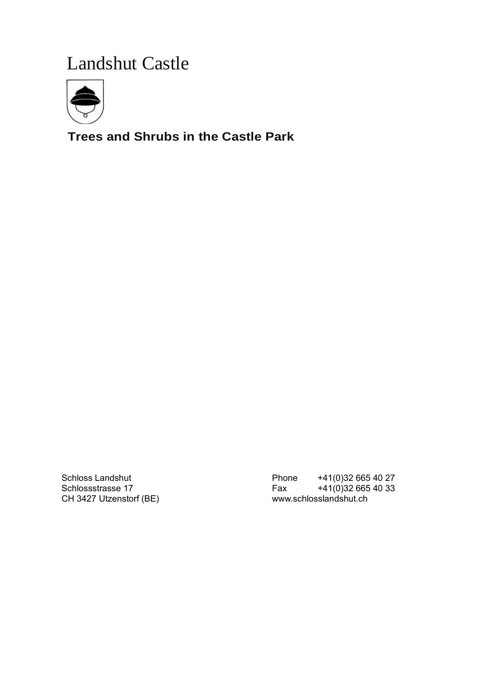# Landshut Castle



# **Trees and Shrubs in the Castle Park**

CH 3427 Utzenstorf (BE) [www.schlosslandshut.ch](http://www.schlosslandshut.ch/)

Schloss Landshut Phone +41(0)32 665 40 27 Schlossstrasse 17 Fax +41(0)32 665 40 33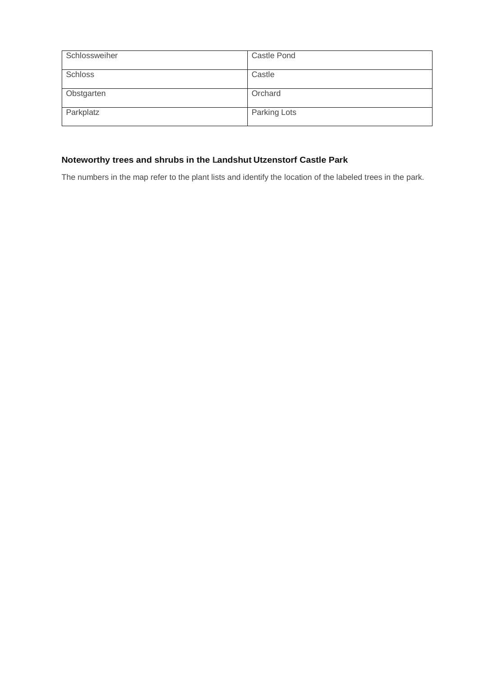| Schlossweiher | <b>Castle Pond</b> |
|---------------|--------------------|
| Schloss       | Castle             |
| Obstgarten    | Orchard            |
| Parkplatz     | Parking Lots       |

## **Noteworthy trees and shrubs in the Landshut Utzenstorf Castle Park**

The numbers in the map refer to the plant lists and identify the location of the labeled trees in the park.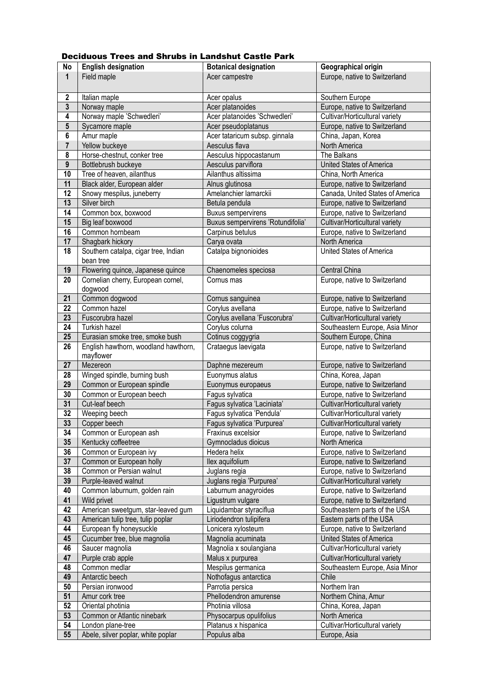#### Deciduous Trees and Shrubs in Landshut Castle Park

| No                      | <b>English designation</b>           | <b>Botanical designation</b>      | Geographical origin              |
|-------------------------|--------------------------------------|-----------------------------------|----------------------------------|
| $\mathbf{1}$            | Field maple                          | Acer campestre                    | Europe, native to Switzerland    |
|                         |                                      |                                   |                                  |
| $\boldsymbol{2}$        | Italian maple                        | Acer opalus                       | Southern Europe                  |
| 3                       | Norway maple                         | Acer platanoides                  | Europe, native to Switzerland    |
| 4                       | Norway maple 'Schwedleri'            | Acer platanoides 'Schwedleri'     | Cultivar/Horticultural variety   |
| $5\phantom{.0}$         | Sycamore maple                       | Acer pseudoplatanus               | Europe, native to Switzerland    |
| 6                       | Amur maple                           | Acer tataricum subsp. ginnala     | China, Japan, Korea              |
| $\overline{\mathbf{r}}$ |                                      | Aesculus flava                    | North America                    |
|                         | Yellow buckeye                       |                                   |                                  |
| 8                       | Horse-chestnut, conker tree          | Aesculus hippocastanum            | The Balkans                      |
| $\boldsymbol{9}$        | Bottlebrush buckeye                  | Aesculus parviflora               | United States of America         |
| 10                      | Tree of heaven, ailanthus            | Ailanthus altissima               | China, North America             |
| 11                      | Black alder, European alder          | Alnus glutinosa                   | Europe, native to Switzerland    |
| 12                      | Snowy mespilus, juneberry            | Amelanchier lamarckii             | Canada, United States of America |
| 13                      | Silver birch                         | Betula pendula                    | Europe, native to Switzerland    |
| 14                      | Common box, boxwood                  | <b>Buxus sempervirens</b>         | Europe, native to Switzerland    |
| 15                      | Big leaf boxwood                     | Buxus sempervirens 'Rotundifolia' | Cultivar/Horticultural variety   |
| 16                      | Common hornbeam                      | Carpinus betulus                  | Europe, native to Switzerland    |
| 17                      | Shagbark hickory                     | Carya ovata                       | North America                    |
| 18                      | Southern catalpa, cigar tree, Indian | Catalpa bignonioides              | United States of America         |
|                         | bean tree                            |                                   |                                  |
| 19                      | Flowering quince, Japanese quince    | Chaenomeles speciosa              | Central China                    |
| 20                      | Cornelian cherry, European cornel,   | Cornus mas                        | Europe, native to Switzerland    |
|                         | dogwood                              |                                   |                                  |
| 21                      | Common dogwood                       | Cornus sanguinea                  | Europe, native to Switzerland    |
| 22                      | Common hazel                         | Corylus avellana                  | Europe, native to Switzerland    |
| 23                      | Fuscorubra hazel                     | Corylus avellana 'Fuscorubra'     | Cultivar/Horticultural variety   |
| 24                      | Turkish hazel                        | Corylus colurna                   | Southeastern Europe, Asia Minor  |
| 25                      | Eurasian smoke tree, smoke bush      | Cotinus coggygria                 | Southern Europe, China           |
| 26                      | English hawthorn, woodland hawthorn, | Crataegus laevigata               | Europe, native to Switzerland    |
|                         | mayflower                            |                                   |                                  |
| 27                      | Mezereon                             | Daphne mezereum                   | Europe, native to Switzerland    |
| 28                      | Winged spindle, burning bush         | Euonymus alatus                   | China, Korea, Japan              |
| 29                      | Common or European spindle           | Euonymus europaeus                | Europe, native to Switzerland    |
| 30                      | Common or European beech             | Fagus sylvatica                   | Europe, native to Switzerland    |
| 31                      | Cut-leaf beech                       | Fagus sylvatica 'Laciniata'       | Cultivar/Horticultural variety   |
| 32                      | Weeping beech                        | Fagus sylvatica 'Pendula'         | Cultivar/Horticultural variety   |
| 33                      | Copper beech                         | Fagus sylvatica 'Purpurea'        | Cultivar/Horticultural variety   |
| 34                      | Common or European ash               | Fraxinus excelsior                | Europe, native to Switzerland    |
| 35                      | Kentucky coffeetree                  | Gymnocladus dioicus               | North America                    |
| 36                      | Common or European ivy               | Hedera helix                      | Europe, native to Switzerland    |
| 37                      | Common or European holly             | llex aquifolium                   | Europe, native to Switzerland    |
| 38                      | Common or Persian walnut             | Juglans regia                     | Europe, native to Switzerland    |
| 39                      |                                      | Juglans regia 'Purpurea'          |                                  |
| 40                      | Purple-leaved walnut                 |                                   | Cultivar/Horticultural variety   |
|                         | Common laburnum, golden rain         | Laburnum anagyroides              | Europe, native to Switzerland    |
| 41                      | Wild privet                          | Ligustrum vulgare                 | Europe, native to Switzerland    |
| 42                      | American sweetgum, star-leaved gum   | Liquidambar styraciflua           | Southeastern parts of the USA    |
| 43                      | American tulip tree, tulip poplar    | Liriodendron tulipifera           | Eastern parts of the USA         |
| 44                      | European fly honeysuckle             | Lonicera xylosteum                | Europe, native to Switzerland    |
| 45                      | Cucumber tree, blue magnolia         | Magnolia acuminata                | United States of America         |
| 46                      | Saucer magnolia                      | Magnolia x soulangiana            | Cultivar/Horticultural variety   |
| 47                      | Purple crab apple                    | Malus x purpurea                  | Cultivar/Horticultural variety   |
| 48                      | Common medlar                        | Mespilus germanica                | Southeastern Europe, Asia Minor  |
| 49                      | Antarctic beech                      | Nothofagus antarctica             | Chile                            |
| 50                      | Persian ironwood                     | Parrotia persica                  | Northern Iran                    |
| 51                      | Amur cork tree                       | Phellodendron amurense            | Northern China, Amur             |
| 52                      | Oriental photinia                    | Photinia villosa                  | China, Korea, Japan              |
| 53                      | Common or Atlantic ninebark          | Physocarpus opulifolius           | North America                    |
| 54                      | London plane-tree                    | Platanus x hispanica              | Cultivar/Horticultural variety   |
| 55                      | Abele, silver poplar, white poplar   | Populus alba                      | Europe, Asia                     |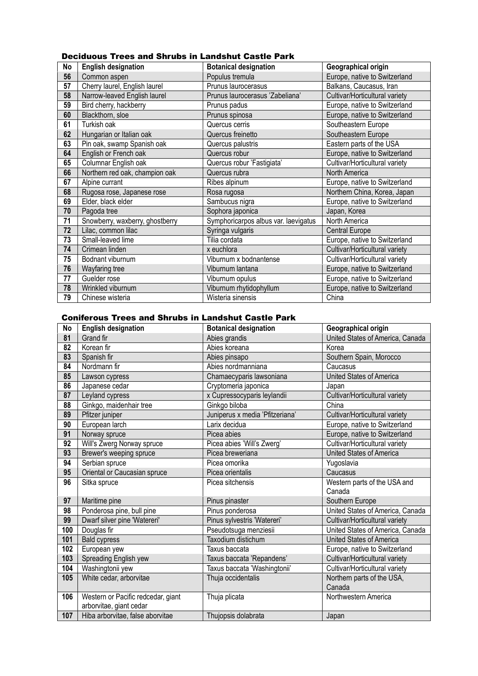#### Deciduous Trees and Shrubs in Landshut Castle Park

| No | <b>English designation</b>      | <b>Botanical designation</b>         | Geographical origin            |
|----|---------------------------------|--------------------------------------|--------------------------------|
| 56 | Common aspen                    | Populus tremula                      | Europe, native to Switzerland  |
| 57 | Cherry laurel, English laurel   | Prunus laurocerasus                  | Balkans, Caucasus, Iran        |
| 58 | Narrow-leaved English laurel    | Prunus laurocerasus 'Zabeliana'      | Cultivar/Horticultural variety |
| 59 | Bird cherry, hackberry          | Prunus padus                         | Europe, native to Switzerland  |
| 60 | Blackthorn, sloe                | Prunus spinosa                       | Europe, native to Switzerland  |
| 61 | Turkish oak                     | Quercus cerris                       | Southeastern Europe            |
| 62 | Hungarian or Italian oak        | Quercus freinetto                    | Southeastern Europe            |
| 63 | Pin oak, swamp Spanish oak      | Quercus palustris                    | Eastern parts of the USA       |
| 64 | English or French oak           | Quercus robur                        | Europe, native to Switzerland  |
| 65 | Columnar English oak            | Quercus robur 'Fastigiata'           | Cultivar/Horticultural variety |
| 66 | Northern red oak, champion oak  | Quercus rubra                        | North America                  |
| 67 | Alpine currant                  | Ribes alpinum                        | Europe, native to Switzerland  |
| 68 | Rugosa rose, Japanese rose      | Rosa rugosa                          | Northern China, Korea, Japan   |
| 69 | Elder, black elder              | Sambucus nigra                       | Europe, native to Switzerland  |
| 70 | Pagoda tree                     | Sophora japonica                     | Japan, Korea                   |
| 71 | Snowberry, waxberry, ghostberry | Symphoricarpos albus var. laevigatus | North America                  |
| 72 | Lilac, common lilac             | Syringa vulgaris                     | Central Europe                 |
| 73 | Small-leaved lime               | Tilia cordata                        | Europe, native to Switzerland  |
| 74 | Crimean linden                  | x euchlora                           | Cultivar/Horticultural variety |
| 75 | Bodnant viburnum                | Viburnum x bodnantense               | Cultivar/Horticultural variety |
| 76 | Wayfaring tree                  | Viburnum lantana                     | Europe, native to Switzerland  |
| 77 | Guelder rose                    | Viburnum opulus                      | Europe, native to Switzerland  |
| 78 | Wrinkled viburnum               | Viburnum rhytidophyllum              | Europe, native to Switzerland  |
| 79 | Chinese wisteria                | Wisteria sinensis                    | China                          |

#### Coniferous Trees and Shrubs in Landshut Castle Park

| No  | <b>English designation</b>         | <b>Botanical designation</b>    | Geographical origin              |
|-----|------------------------------------|---------------------------------|----------------------------------|
| 81  | Grand fir                          | Abies grandis                   | United States of America, Canada |
| 82  | Korean fir                         | Abies koreana                   | Korea                            |
| 83  | Spanish fir                        | Abies pinsapo                   | Southern Spain, Morocco          |
| 84  | Nordmann fir                       | Abies nordmanniana              | Caucasus                         |
| 85  | Lawson cypress                     | Chamaecyparis lawsoniana        | United States of America         |
| 86  | Japanese cedar                     | Cryptomeria japonica            | Japan                            |
| 87  | Leyland cypress                    | x Cupressocyparis leylandii     | Cultivar/Horticultural variety   |
| 88  | Ginkgo, maidenhair tree            | Ginkgo biloba                   | China                            |
| 89  | Pfitzer juniper                    | Juniperus x media 'Pfitzeriana' | Cultivar/Horticultural variety   |
| 90  | European larch                     | Larix decidua                   | Europe, native to Switzerland    |
| 91  | Norway spruce                      | Picea abies                     | Europe, native to Switzerland    |
| 92  | Will's Zwerg Norway spruce         | Picea abies 'Will's Zwerg'      | Cultivar/Horticultural variety   |
| 93  | Brewer's weeping spruce            | Picea breweriana                | United States of America         |
| 94  | Serbian spruce                     | Picea omorika                   | Yugoslavia                       |
| 95  | Oriental or Caucasian spruce       | Picea orientalis                | Caucasus                         |
| 96  | Sitka spruce                       | Picea sitchensis                | Western parts of the USA and     |
|     |                                    |                                 | Canada                           |
| 97  | Maritime pine                      | Pinus pinaster                  | Southern Europe                  |
| 98  | Ponderosa pine, bull pine          | Pinus ponderosa                 | United States of America, Canada |
| 99  | Dwarf silver pine 'Watereri'       | Pinus sylvestris 'Watereri'     | Cultivar/Horticultural variety   |
| 100 | Douglas fir                        | Pseudotsuga menziesii           | United States of America, Canada |
| 101 | <b>Bald cypress</b>                | Taxodium distichum              | United States of America         |
| 102 | European yew                       | Taxus baccata                   | Europe, native to Switzerland    |
| 103 | Spreading English yew              | Taxus baccata 'Repandens'       | Cultivar/Horticultural variety   |
| 104 | Washingtonii yew                   | Taxus baccata 'Washingtonii'    | Cultivar/Horticultural variety   |
| 105 | White cedar, arborvitae            | Thuja occidentalis              | Northern parts of the USA,       |
|     |                                    |                                 | Canada                           |
| 106 | Western or Pacific redcedar, giant | Thuja plicata                   | Northwestern America             |
|     | arborvitae, giant cedar            |                                 |                                  |
| 107 | Hiba arborvitae, false aborvitae   | Thujopsis dolabrata             | Japan                            |